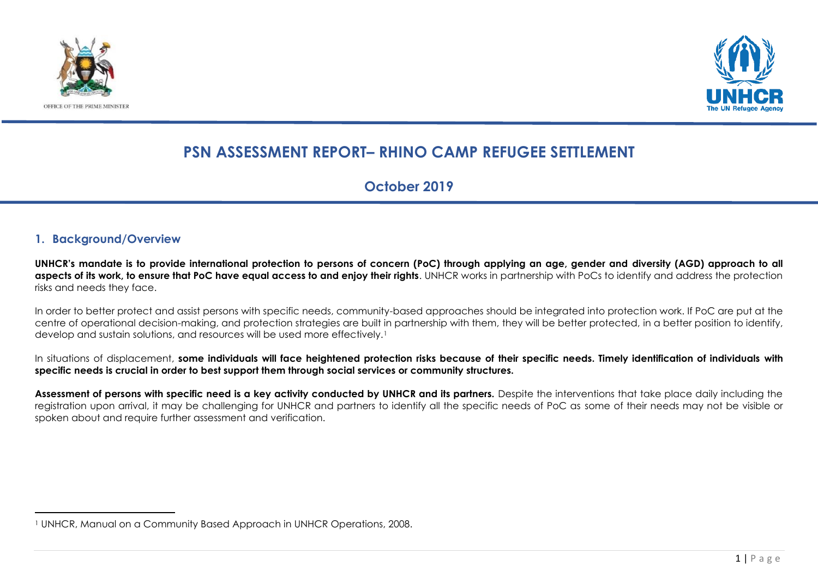



### **PSN ASSESSMENT REPORT– RHINO CAMP REFUGEE SETTLEMENT**

**October 2019**

#### **1. Background/Overview**

**UNHCR's mandate is to provide international protection to persons of concern (PoC) through applying an age, gender and diversity (AGD) approach to all aspects of its work, to ensure that PoC have equal access to and enjoy their rights**. UNHCR works in partnership with PoCs to identify and address the protection risks and needs they face.

In order to better protect and assist persons with specific needs, community-based approaches should be integrated into protection work. If PoC are put at the centre of operational decision-making, and protection strategies are built in partnership with them, they will be better protected, in a better position to identify, develop and sustain solutions, and resources will be used more effectively.<sup>1</sup>

In situations of displacement, some individuals will face heightened protection risks because of their specific needs. Timely identification of individuals with **specific needs is crucial in order to best support them through social services or community structures.** 

**Assessment of persons with specific need is a key activity conducted by UNHCR and its partners.** Despite the interventions that take place daily including the registration upon arrival, it may be challenging for UNHCR and partners to identify all the specific needs of PoC as some of their needs may not be visible or spoken about and require further assessment and verification.

<sup>1</sup> UNHCR, Manual on a Community Based Approach in UNHCR Operations, 2008.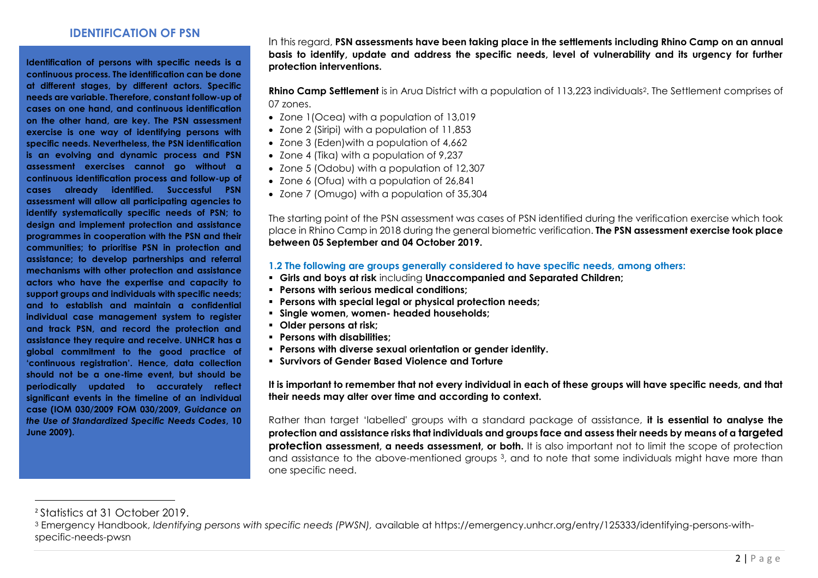#### **IDENTIFICATION OF PSN**

**Identification of persons with specific needs is a continuous process. The identification can be done at different stages, by different actors. Specific needs are variable. Therefore, constant follow-up of cases on one hand, and continuous identification on the other hand, are key. The PSN assessment exercise is one way of identifying persons with specific needs. Nevertheless, the PSN identification is an evolving and dynamic process and PSN assessment exercises cannot go without a continuous identification process and follow-up of cases already identified. Successful PSN assessment will allow all participating agencies to identify systematically specific needs of PSN; to design and implement protection and assistance programmes in cooperation with the PSN and their communities; to prioritise PSN in protection and assistance; to develop partnerships and referral mechanisms with other protection and assistance actors who have the expertise and capacity to support groups and individuals with specific needs; and to establish and maintain a confidential individual case management system to register and track PSN, and record the protection and assistance they require and receive. UNHCR has a global commitment to the good practice of 'continuous registration'. Hence, data collection should not be a one-time event, but should be periodically updated to accurately reflect significant events in the timeline of an individual case (IOM 030/2009 FOM 030/2009,** *Guidance on the Use of Standardized Specific Needs Codes***, 10 June 2009).** 

In this regard, **PSN assessments have been taking place in the settlements including Rhino Camp on an annual basis to identify, update and address the specific needs, level of vulnerability and its urgency for further protection interventions.**

**Rhino Camp Settlement** is in Arua District with a population of 113,223 individuals<sup>2</sup>. The Settlement comprises of 07 zones.

- Zone 1 (Ocea) with a population of 13,019
- Zone 2 (Siripi) with a population of 11,853
- Zone 3 (Eden)with a population of 4,662
- Zone 4 (Tika) with a population of 9,237
- Zone 5 (Odobu) with a population of 12,307
- Zone 6 (Ofua) with a population of 26,841
- Zone 7 (Omugo) with a population of 35,304

The starting point of the PSN assessment was cases of PSN identified during the verification exercise which took place in Rhino Camp in 2018 during the general biometric verification. **The PSN assessment exercise took place between 05 September and 04 October 2019.**

#### **1.2 The following are groups generally considered to have specific needs, among others:**

- **Girls and boys at risk** including **Unaccompanied and Separated Children;**
- **Persons with serious medical conditions;**
- **Persons with special legal or physical protection needs;**
- **Single women, women- headed households;**
- **Older persons at risk;**
- **Persons with disabilities;**
- **Persons with diverse sexual orientation or gender identity.**
- **Survivors of Gender Based Violence and Torture**

**It is important to remember that not every individual in each of these groups will have specific needs, and that their needs may alter over time and according to context.**

Rather than target 'labelled' groups with a standard package of assistance, **it is essential to analyse the protection and assistance risks that individuals and groups face and assess their needs by means of a targeted protection assessment, a needs assessment, or both.** It is also important not to limit the scope of protection and assistance to the above-mentioned groups 3, and to note that some individuals might have more than one specific need.

<sup>2</sup> Statistics at 31 October 2019.

<sup>3</sup> Emergency Handbook, *Identifying persons with specific needs (PWSN),* available at https://emergency.unhcr.org/entry/125333/identifying-persons-withspecific-needs-pwsn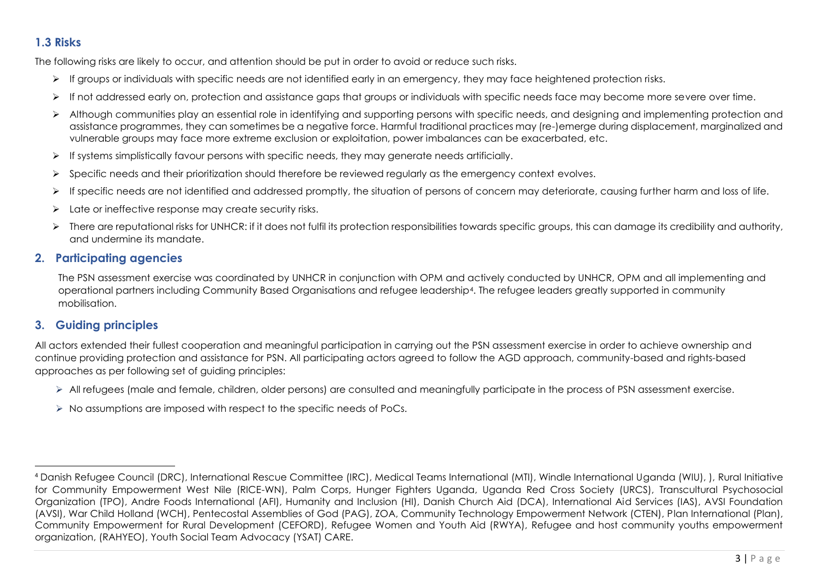### **1.3 Risks**

The following risks are likely to occur, and attention should be put in order to avoid or reduce such risks.

- ➢ If groups or individuals with specific needs are not identified early in an emergency, they may face heightened protection risks.
- ➢ If not addressed early on, protection and assistance gaps that groups or individuals with specific needs face may become more severe over time.
- ➢ Although communities play an essential role in identifying and supporting persons with specific needs, and designing and implementing protection and assistance programmes, they can sometimes be a negative force. Harmful traditional practices may (re-)emerge during displacement, marginalized and vulnerable groups may face more extreme exclusion or exploitation, power imbalances can be exacerbated, etc.
- ➢ If systems simplistically favour persons with specific needs, they may generate needs artificially.
- ➢ Specific needs and their prioritization should therefore be reviewed regularly as the emergency context evolves.
- ➢ If specific needs are not identified and addressed promptly, the situation of persons of concern may deteriorate, causing further harm and loss of life.
- ➢ Late or ineffective response may create security risks.
- ➢ There are reputational risks for UNHCR: if it does not fulfil its protection responsibilities towards specific groups, this can damage its credibility and authority, and undermine its mandate.

### **2. Participating agencies**

The PSN assessment exercise was coordinated by UNHCR in conjunction with OPM and actively conducted by UNHCR, OPM and all implementing and operational partners including Community Based Organisations and refugee leadership4. The refugee leaders greatly supported in community mobilisation.

### **3. Guiding principles**

All actors extended their fullest cooperation and meaningful participation in carrying out the PSN assessment exercise in order to achieve ownership and continue providing protection and assistance for PSN. All participating actors agreed to follow the AGD approach, community-based and rights-based approaches as per following set of guiding principles:

- ➢ All refugees (male and female, children, older persons) are consulted and meaningfully participate in the process of PSN assessment exercise.
- $\triangleright$  No assumptions are imposed with respect to the specific needs of PoCs.

<sup>4</sup> Danish Refugee Council (DRC), International Rescue Committee (IRC), Medical Teams International (MTI), Windle International Uganda (WIU), ), Rural Initiative for Community Empowerment West Nile (RICE-WN), Palm Corps, Hunger Fighters Uganda, Uganda Red Cross Society (URCS), Transcultural Psychosocial Organization (TPO), Andre Foods International (AFI), Humanity and Inclusion (HI), Danish Church Aid (DCA), International Aid Services (IAS), AVSI Foundation (AVSI), War Child Holland (WCH), Pentecostal Assemblies of God (PAG), ZOA, Community Technology Empowerment Network (CTEN), Plan International (Plan), Community Empowerment for Rural Development (CEFORD), Refugee Women and Youth Aid (RWYA), Refugee and host community youths empowerment organization, (RAHYEO), Youth Social Team Advocacy (YSAT) CARE.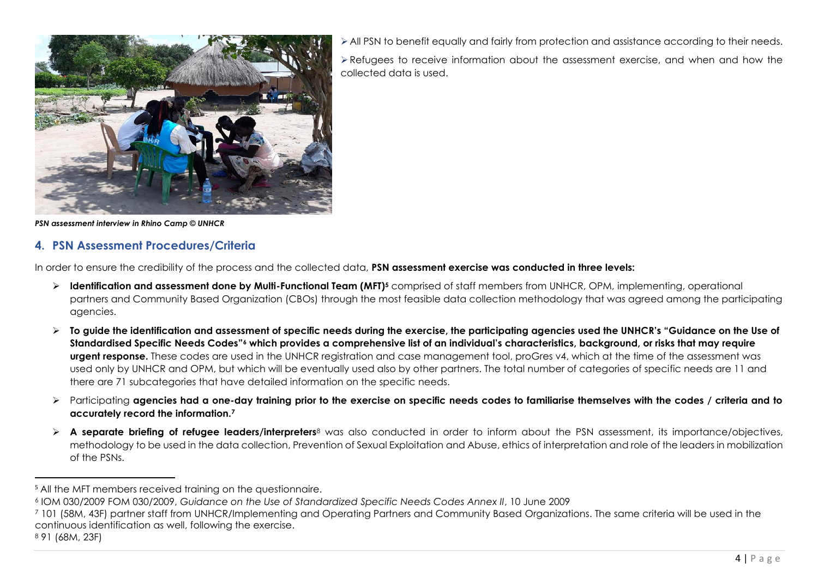

➢All PSN to benefit equally and fairly from protection and assistance according to their needs.

➢Refugees to receive information about the assessment exercise, and when and how the collected data is used.

*PSN assessment interview in Rhino Camp © UNHCR*

#### **4. PSN Assessment Procedures/Criteria**

In order to ensure the credibility of the process and the collected data, **PSN assessment exercise was conducted in three levels:**

- ➢ **Identification and assessment done by Multi-Functional Team (MFT)<sup>5</sup>** comprised of staff members from UNHCR, OPM, implementing, operational partners and Community Based Organization (CBOs) through the most feasible data collection methodology that was agreed among the participating agencies.
- ➢ **To guide the identification and assessment of specific needs during the exercise, the participating agencies used the UNHCR's "Guidance on the Use of Standardised Specific Needs Codes"<sup>6</sup> which provides a comprehensive list of an individual's characteristics, background, or risks that may require urgent response.** These codes are used in the UNHCR registration and case management tool, proGres v4, which at the time of the assessment was used only by UNHCR and OPM, but which will be eventually used also by other partners. The total number of categories of specific needs are 11 and there are 71 subcategories that have detailed information on the specific needs.
- ➢ Participating **agencies had a one-day training prior to the exercise on specific needs codes to familiarise themselves with the codes / criteria and to accurately record the information.<sup>7</sup>**
- ➢ **A separate briefing of refugee leaders/interpreters**<sup>8</sup> was also conducted in order to inform about the PSN assessment, its importance/objectives, methodology to be used in the data collection, Prevention of Sexual Exploitation and Abuse, ethics of interpretation and role of the leaders in mobilization of the PSNs.

<sup>&</sup>lt;sup>5</sup> All the MFT members received training on the questionnaire.

<sup>6</sup> IOM 030/2009 FOM 030/2009, *Guidance on the Use of Standardized Specific Needs Codes Annex II*, 10 June 2009

<sup>7</sup> 101 (58M, 43F) partner staff from UNHCR/Implementing and Operating Partners and Community Based Organizations. The same criteria will be used in the continuous identification as well, following the exercise.

<sup>8</sup> 91 (68M, 23F)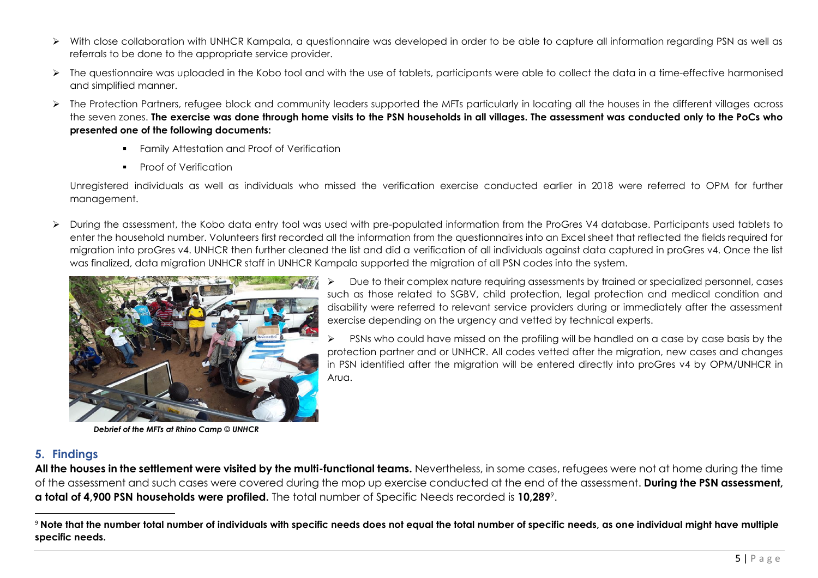- ➢ With close collaboration with UNHCR Kampala, a questionnaire was developed in order to be able to capture all information regarding PSN as well as referrals to be done to the appropriate service provider.
- ➢ The questionnaire was uploaded in the Kobo tool and with the use of tablets, participants were able to collect the data in a time-effective harmonised and simplified manner.
- ➢ The Protection Partners, refugee block and community leaders supported the MFTs particularly in locating all the houses in the different villages across the seven zones. **The exercise was done through home visits to the PSN households in all villages. The assessment was conducted only to the PoCs who presented one of the following documents:**
	- **•** Family Attestation and Proof of Verification
	- Proof of Verification

Unregistered individuals as well as individuals who missed the verification exercise conducted earlier in 2018 were referred to OPM for further management.

➢ During the assessment, the Kobo data entry tool was used with pre-populated information from the ProGres V4 database. Participants used tablets to enter the household number. Volunteers first recorded all the information from the questionnaires into an Excel sheet that reflected the fields required for migration into proGres v4. UNHCR then further cleaned the list and did a verification of all individuals against data captured in proGres v4. Once the list was finalized, data migration UNHCR staff in UNHCR Kampala supported the migration of all PSN codes into the system.



 *Debrief of the MFTs at Rhino Camp © UNHCR*

➢ Due to their complex nature requiring assessments by trained or specialized personnel, cases such as those related to SGBV, child protection, legal protection and medical condition and disability were referred to relevant service providers during or immediately after the assessment exercise depending on the urgency and vetted by technical experts.

 $\triangleright$  PSNs who could have missed on the profiling will be handled on a case by case basis by the protection partner and or UNHCR. All codes vetted after the migration, new cases and changes in PSN identified after the migration will be entered directly into proGres v4 by OPM/UNHCR in Arua

#### **5. Findings**

**All the houses in the settlement were visited by the multi-functional teams.** Nevertheless, in some cases, refugees were not at home during the time of the assessment and such cases were covered during the mop up exercise conducted at the end of the assessment. **During the PSN assessment, a total of 4,900 PSN households were profiled.** The total number of Specific Needs recorded is **10,289**<sup>9</sup> .

<sup>9</sup> **Note that the number total number of individuals with specific needs does not equal the total number of specific needs, as one individual might have multiple specific needs.**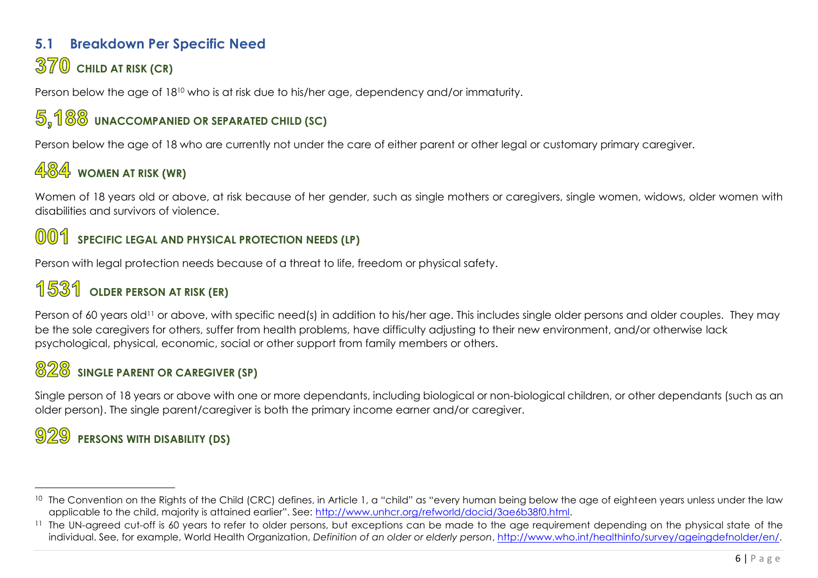### **5.1 Breakdown Per Specific Need 370** CHILD AT RISK (CR)

Person below the age of 18<sup>10</sup> who is at risk due to his/her age, dependency and/or immaturity.

## **UNACCOMPANIED OR SEPARATED CHILD (SC)**

Person below the age of 18 who are currently not under the care of either parent or other legal or customary primary caregiver.

## 484 WOMEN AT RISK (WR)

Women of 18 years old or above, at risk because of her gender, such as single mothers or caregivers, single women, widows, older women with disabilities and survivors of violence.

### **OO1** SPECIFIC LEGAL AND PHYSICAL PROTECTION NEEDS (LP)

Person with legal protection needs because of a threat to life, freedom or physical safety.

## **OLDER PERSON AT RISK (ER)**

Person of 60 years old<sup>11</sup> or above, with specific need(s) in addition to his/her age. This includes single older persons and older couples. They may be the sole caregivers for others, suffer from health problems, have difficulty adjusting to their new environment, and/or otherwise lack psychological, physical, economic, social or other support from family members or others.

## **SINGLE PARENT OR CAREGIVER (SP)**

Single person of 18 years or above with one or more dependants, including biological or non-biological children, or other dependants (such as an older person). The single parent/caregiver is both the primary income earner and/or caregiver.

## **PERSONS WITH DISABILITY (DS)**

<sup>&</sup>lt;sup>10</sup> The Convention on the Rights of the Child (CRC) defines, in Article 1, a "child" as "every human being below the age of eighteen years unless under the law applicable to the child, majority is attained earlier". See: [http://www.unhcr.org/refworld/docid/3ae6b38f0.html.](http://www.unhcr.org/refworld/docid/3ae6b38f0.html)

<sup>&</sup>lt;sup>11</sup> The UN-agreed cut-off is 60 years to refer to older persons, but exceptions can be made to the age requirement depending on the physical state of the individual. See, for example, World Health Organization, *Definition of an older or elderly person*, [http://www.who.int/healthinfo/survey/ageingdefnolder/en/.](http://www.who.int/healthinfo/survey/ageingdefnolder/en/)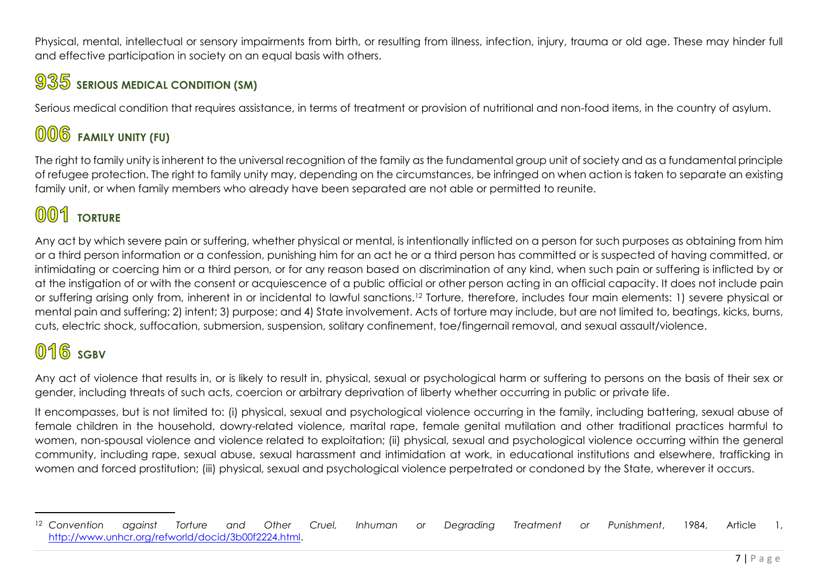Physical, mental, intellectual or sensory impairments from birth, or resulting from illness, infection, injury, trauma or old age. These may hinder full and effective participation in society on an equal basis with others.

## $935$  **serious medical condition (SM)**

Serious medical condition that requires assistance, in terms of treatment or provision of nutritional and non-food items, in the country of asylum.

# **FAMILY UNITY (FU)**

The right to family unity is inherent to the universal recognition of the family as the fundamental group unit of society and as a fundamental principle of refugee protection. The right to family unity may, depending on the circumstances, be infringed on when action is taken to separate an existing family unit, or when family members who already have been separated are not able or permitted to reunite.

# **001** TORTURE

Any act by which severe pain or suffering, whether physical or mental, is intentionally inflicted on a person for such purposes as obtaining from him or a third person information or a confession, punishing him for an act he or a third person has committed or is suspected of having committed, or intimidating or coercing him or a third person, or for any reason based on discrimination of any kind, when such pain or suffering is inflicted by or at the instigation of or with the consent or acquiescence of a public official or other person acting in an official capacity. It does not include pain or suffering arising only from, inherent in or incidental to lawful sanctions.<sup>12</sup> Torture, therefore, includes four main elements: 1) severe physical or mental pain and suffering; 2) intent; 3) purpose; and 4) State involvement. Acts of torture may include, but are not limited to, beatings, kicks, burns, cuts, electric shock, suffocation, submersion, suspension, solitary confinement, toe/fingernail removal, and sexual assault/violence.

# $016$  sgBV

Any act of violence that results in, or is likely to result in, physical, sexual or psychological harm or suffering to persons on the basis of their sex or gender, including threats of such acts, coercion or arbitrary deprivation of liberty whether occurring in public or private life.

It encompasses, but is not limited to: (i) physical, sexual and psychological violence occurring in the family, including battering, sexual abuse of female children in the household, dowry-related violence, marital rape, female genital mutilation and other traditional practices harmful to women, non-spousal violence and violence related to exploitation; (ii) physical, sexual and psychological violence occurring within the general community, including rape, sexual abuse, sexual harassment and intimidation at work, in educational institutions and elsewhere, trafficking in women and forced prostitution; (iii) physical, sexual and psychological violence perpetrated or condoned by the State, wherever it occurs.

<sup>12</sup> *Convention against Torture and Other Cruel, Inhuman or Degrading Treatment or Punishment*, 1984, Article 1, [http://www.unhcr.org/refworld/docid/3b00f2224.html.](http://www.unhcr.org/refworld/docid/3b00f2224.html)